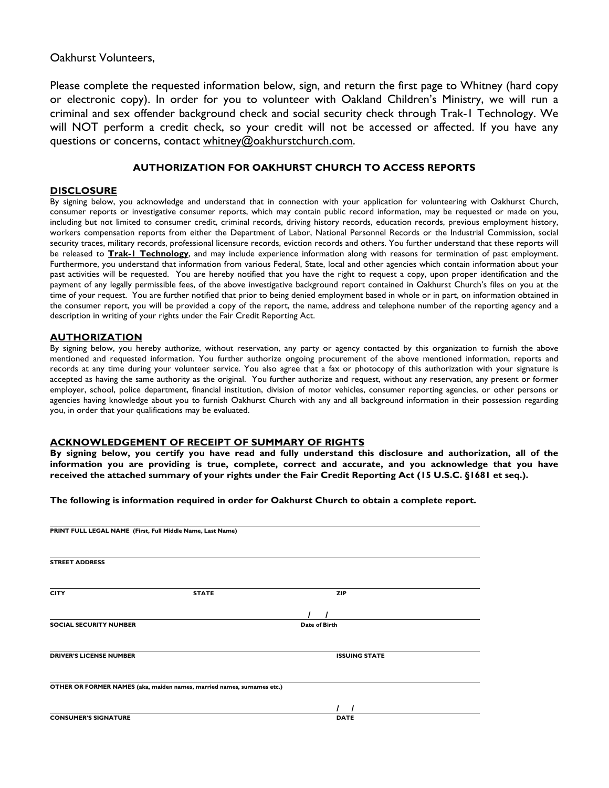Oakhurst Volunteers,

Please complete the requested information below, sign, and return the first page to Whitney (hard copy or electronic copy). In order for you to volunteer with Oakland Children's Ministry, we will run a criminal and sex offender background check and social security check through Trak-1 Technology. We will NOT perform a credit check, so your credit will not be accessed or affected. If you have any questions or concerns, contact whitney@oakhurstchurch.com.

### **AUTHORIZATION FOR OAKHURST CHURCH TO ACCESS REPORTS**

#### **DISCLOSURE**

By signing below, you acknowledge and understand that in connection with your application for volunteering with Oakhurst Church, consumer reports or investigative consumer reports, which may contain public record information, may be requested or made on you, including but not limited to consumer credit, criminal records, driving history records, education records, previous employment history, workers compensation reports from either the Department of Labor, National Personnel Records or the Industrial Commission, social security traces, military records, professional licensure records, eviction records and others. You further understand that these reports will be released to **Trak-1 Technology**, and may include experience information along with reasons for termination of past employment. Furthermore, you understand that information from various Federal, State, local and other agencies which contain information about your past activities will be requested. You are hereby notified that you have the right to request a copy, upon proper identification and the payment of any legally permissible fees, of the above investigative background report contained in Oakhurst Church's files on you at the time of your request. You are further notified that prior to being denied employment based in whole or in part, on information obtained in the consumer report, you will be provided a copy of the report, the name, address and telephone number of the reporting agency and a description in writing of your rights under the Fair Credit Reporting Act.

#### **AUTHORIZATION**

By signing below, you hereby authorize, without reservation, any party or agency contacted by this organization to furnish the above mentioned and requested information. You further authorize ongoing procurement of the above mentioned information, reports and records at any time during your volunteer service. You also agree that a fax or photocopy of this authorization with your signature is accepted as having the same authority as the original. You further authorize and request, without any reservation, any present or former employer, school, police department, financial institution, division of motor vehicles, consumer reporting agencies, or other persons or agencies having knowledge about you to furnish Oakhurst Church with any and all background information in their possession regarding you, in order that your qualifications may be evaluated.

#### **ACKNOWLEDGEMENT OF RECEIPT OF SUMMARY OF RIGHTS**

**By signing below, you certify you have read and fully understand this disclosure and authorization, all of the information you are providing is true, complete, correct and accurate, and you acknowledge that you have received the attached summary of your rights under the Fair Credit Reporting Act (15 U.S.C. §1681 et seq.).**

**The following is information required in order for Oakhurst Church to obtain a complete report.** 

| PRINT FULL LEGAL NAME (First, Full Middle Name, Last Name)              |              |                      |  |
|-------------------------------------------------------------------------|--------------|----------------------|--|
|                                                                         |              |                      |  |
| <b>STREET ADDRESS</b>                                                   |              |                      |  |
| <b>CITY</b>                                                             | <b>STATE</b> | <b>ZIP</b>           |  |
|                                                                         |              |                      |  |
| <b>SOCIAL SECURITY NUMBER</b>                                           |              | Date of Birth        |  |
| <b>DRIVER'S LICENSE NUMBER</b>                                          |              | <b>ISSUING STATE</b> |  |
| OTHER OR FORMER NAMES (aka, maiden names, married names, surnames etc.) |              |                      |  |
|                                                                         |              |                      |  |
| <b>CONSUMER'S SIGNATURE</b>                                             |              | <b>DATE</b>          |  |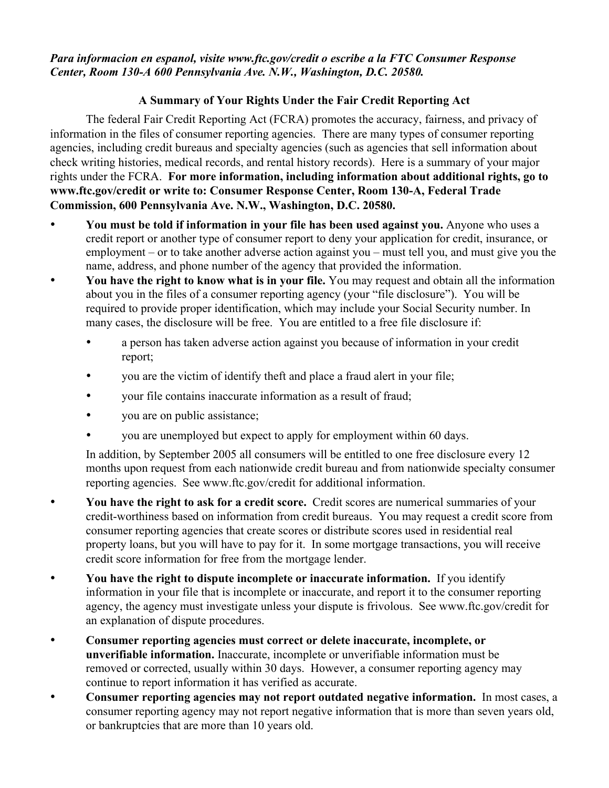## *Para informacion en espanol, visite www.ftc.gov/credit o escribe a la FTC Consumer Response Center, Room 130-A 600 Pennsylvania Ave. N.W., Washington, D.C. 20580.*

# **A Summary of Your Rights Under the Fair Credit Reporting Act**

The federal Fair Credit Reporting Act (FCRA) promotes the accuracy, fairness, and privacy of information in the files of consumer reporting agencies. There are many types of consumer reporting agencies, including credit bureaus and specialty agencies (such as agencies that sell information about check writing histories, medical records, and rental history records). Here is a summary of your major rights under the FCRA. **For more information, including information about additional rights, go to www.ftc.gov/credit or write to: Consumer Response Center, Room 130-A, Federal Trade Commission, 600 Pennsylvania Ave. N.W., Washington, D.C. 20580.** 

- **You must be told if information in your file has been used against you.** Anyone who uses a credit report or another type of consumer report to deny your application for credit, insurance, or employment – or to take another adverse action against you – must tell you, and must give you the name, address, and phone number of the agency that provided the information.
- **You have the right to know what is in your file.** You may request and obtain all the information about you in the files of a consumer reporting agency (your "file disclosure"). You will be required to provide proper identification, which may include your Social Security number. In many cases, the disclosure will be free. You are entitled to a free file disclosure if:
	- a person has taken adverse action against you because of information in your credit report;
	- vou are the victim of identify theft and place a fraud alert in your file;
	- your file contains inaccurate information as a result of fraud;
	- you are on public assistance;
	- you are unemployed but expect to apply for employment within 60 days.

In addition, by September 2005 all consumers will be entitled to one free disclosure every 12 months upon request from each nationwide credit bureau and from nationwide specialty consumer reporting agencies. See www.ftc.gov/credit for additional information.

- **You have the right to ask for a credit score.** Credit scores are numerical summaries of your credit-worthiness based on information from credit bureaus. You may request a credit score from consumer reporting agencies that create scores or distribute scores used in residential real property loans, but you will have to pay for it. In some mortgage transactions, you will receive credit score information for free from the mortgage lender.
- **You have the right to dispute incomplete or inaccurate information.** If you identify information in your file that is incomplete or inaccurate, and report it to the consumer reporting agency, the agency must investigate unless your dispute is frivolous. See www.ftc.gov/credit for an explanation of dispute procedures.
- **Consumer reporting agencies must correct or delete inaccurate, incomplete, or unverifiable information.** Inaccurate, incomplete or unverifiable information must be removed or corrected, usually within 30 days. However, a consumer reporting agency may continue to report information it has verified as accurate.
- **Consumer reporting agencies may not report outdated negative information.** In most cases, a consumer reporting agency may not report negative information that is more than seven years old, or bankruptcies that are more than 10 years old.